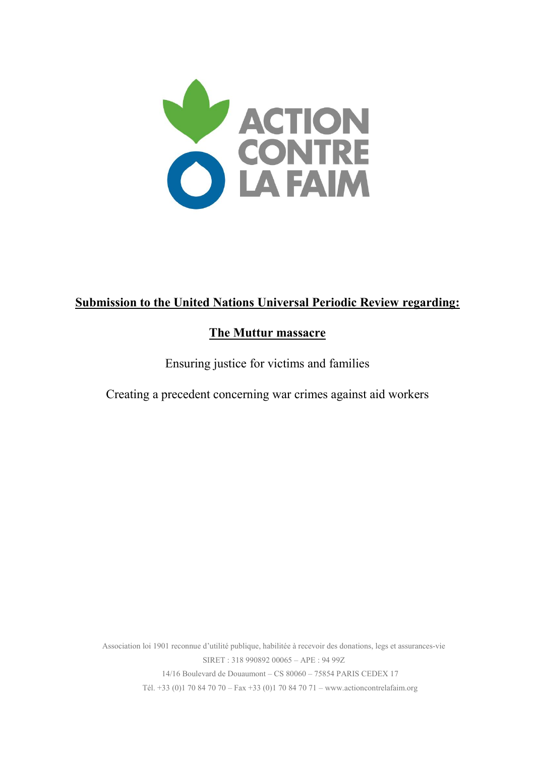

# **Submission to the United Nations Universal Periodic Review regarding:**

# **The Muttur massacre**

Ensuring justice for victims and families

Creating a precedent concerning war crimes against aid workers

Association loi 1901 reconnue d'utilité publique, habilitée à recevoir des donations, legs et assurances-vie SIRET : 318 990892 00065 – APE : 94 99Z 14/16 Boulevard de Douaumont – CS 80060 – 75854 PARIS CEDEX 17 Tél. +33 (0)1 70 84 70 70 – Fax +33 (0)1 70 84 70 71 – www.actioncontrelafaim.org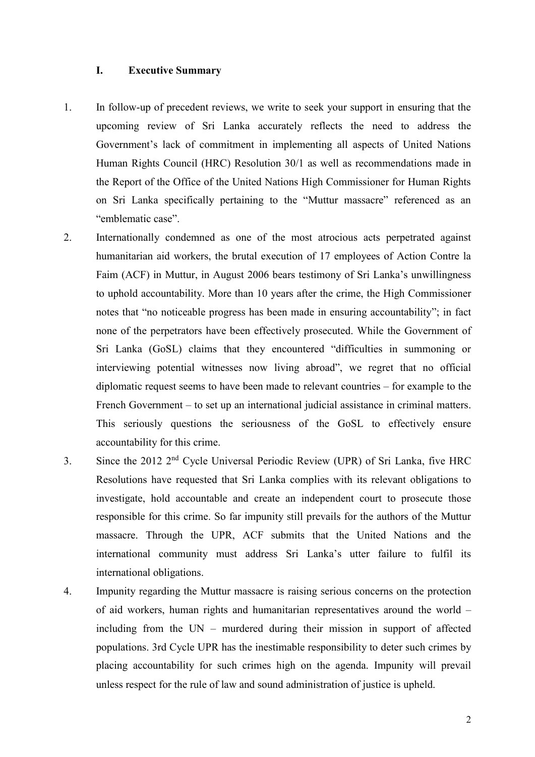# **I. Executive Summary**

- 1. In follow-up of precedent reviews, we write to seek your support in ensuring that the upcoming review of Sri Lanka accurately reflects the need to address the Government's lack of commitment in implementing all aspects of United Nations Human Rights Council (HRC) Resolution 30/1 as well as recommendations made in the Report of the Office of the United Nations High Commissioner for Human Rights on Sri Lanka specifically pertaining to the "Muttur massacre" referenced as an "emblematic case".
- 2. Internationally condemned as one of the most atrocious acts perpetrated against humanitarian aid workers, the brutal execution of 17 employees of Action Contre la Faim (ACF) in Muttur, in August 2006 bears testimony of Sri Lanka's unwillingness to uphold accountability. More than 10 years after the crime, the High Commissioner notes that "no noticeable progress has been made in ensuring accountability"; in fact none of the perpetrators have been effectively prosecuted. While the Government of Sri Lanka (GoSL) claims that they encountered "difficulties in summoning or interviewing potential witnesses now living abroad", we regret that no official diplomatic request seems to have been made to relevant countries – for example to the French Government – to set up an international judicial assistance in criminal matters. This seriously questions the seriousness of the GoSL to effectively ensure accountability for this crime.
- 3. Since the 2012 2<sup>nd</sup> Cycle Universal Periodic Review (UPR) of Sri Lanka, five HRC Resolutions have requested that Sri Lanka complies with its relevant obligations to investigate, hold accountable and create an independent court to prosecute those responsible for this crime. So far impunity still prevails for the authors of the Muttur massacre. Through the UPR, ACF submits that the United Nations and the international community must address Sri Lanka's utter failure to fulfil its international obligations.
- 4. Impunity regarding the Muttur massacre is raising serious concerns on the protection of aid workers, human rights and humanitarian representatives around the world – including from the UN – murdered during their mission in support of affected populations. 3rd Cycle UPR has the inestimable responsibility to deter such crimes by placing accountability for such crimes high on the agenda. Impunity will prevail unless respect for the rule of law and sound administration of justice is upheld.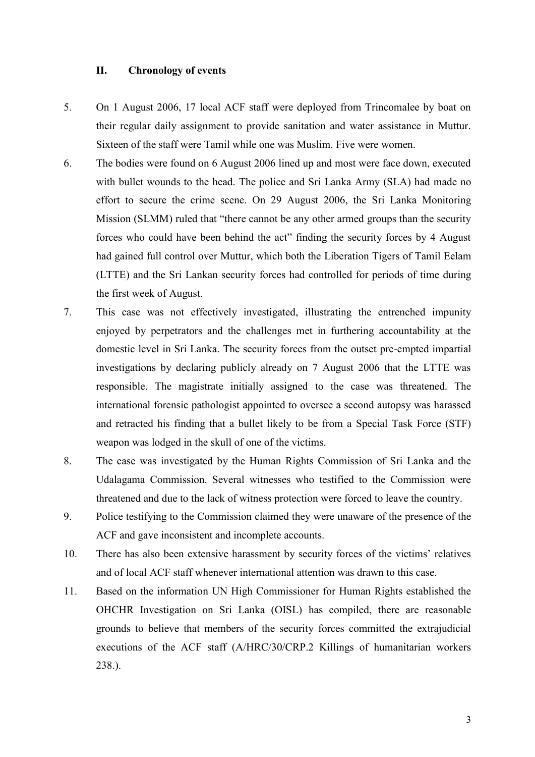## **II. Chronology of events**

- 5. On 1 August 2006, 17 local ACF staff were deployed from Trincomalee by boat on their regular daily assignment to provide sanitation and water assistance in Muttur. Sixteen of the staff were Tamil while one was Muslim. Five were women.
- 6. The bodies were found on 6 August 2006 lined up and most were face down, executed with bullet wounds to the head. The police and Sri Lanka Army (SLA) had made no effort to secure the crime scene. On 29 August 2006, the Sri Lanka Monitoring Mission (SLMM) ruled that "there cannot be any other armed groups than the security forces who could have been behind the act" finding the security forces by 4 August had gained full control over Muttur, which both the Liberation Tigers of Tamil Eelam (LTTE) and the Sri Lankan security forces had controlled for periods of time during the first week of August.
- 7. This case was not effectively investigated, illustrating the entrenched impunity enjoyed by perpetrators and the challenges met in furthering accountability at the domestic level in Sri Lanka. The security forces from the outset pre-empted impartial investigations by declaring publicly already on 7 August 2006 that the LTTE was responsible. The magistrate initially assigned to the case was threatened. The international forensic pathologist appointed to oversee a second autopsy was harassed and retracted his finding that a bullet likely to be from a Special Task Force (STF) weapon was lodged in the skull of one of the victims.
- 8. The case was investigated by the Human Rights Commission of Sri Lanka and the Udalagama Commission. Several witnesses who testified to the Commission were threatened and due to the lack of witness protection were forced to leave the country.
- 9. Police testifying to the Commission claimed they were unaware of the presence of the ACF and gave inconsistent and incomplete accounts.
- 10. There has also been extensive harassment by security forces of the victims' relatives and of local ACF staff whenever international attention was drawn to this case.
- 11. Based on the information UN High Commissioner for Human Rights established the OHCHR Investigation on Sri Lanka (OISL) has compiled, there are reasonable grounds to believe that members of the security forces committed the extrajudicial executions of the ACF staff (A/HRC/30/CRP.2 Killings of humanitarian workers 238.).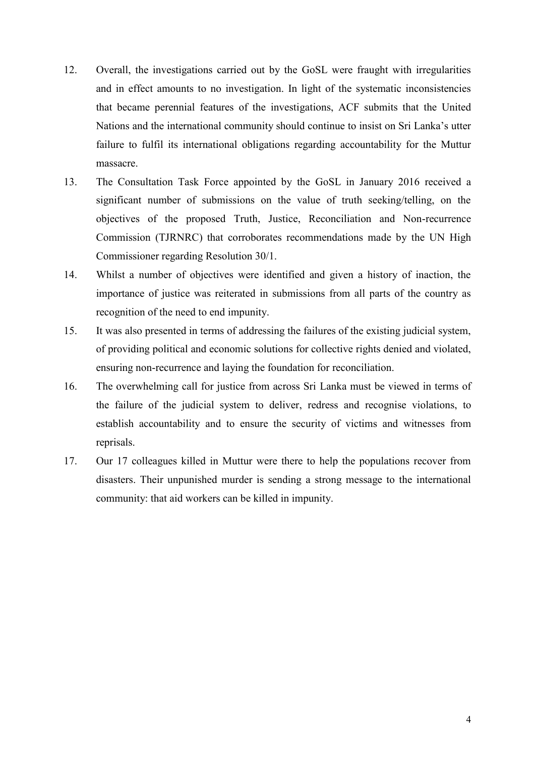- 12. Overall, the investigations carried out by the GoSL were fraught with irregularities and in effect amounts to no investigation. In light of the systematic inconsistencies that became perennial features of the investigations, ACF submits that the United Nations and the international community should continue to insist on Sri Lanka's utter failure to fulfil its international obligations regarding accountability for the Muttur massacre.
- 13. The Consultation Task Force appointed by the GoSL in January 2016 received a significant number of submissions on the value of truth seeking/telling, on the objectives of the proposed Truth, Justice, Reconciliation and Non-recurrence Commission (TJRNRC) that corroborates recommendations made by the UN High Commissioner regarding Resolution 30/1.
- 14. Whilst a number of objectives were identified and given a history of inaction, the importance of justice was reiterated in submissions from all parts of the country as recognition of the need to end impunity.
- 15. It was also presented in terms of addressing the failures of the existing judicial system, of providing political and economic solutions for collective rights denied and violated, ensuring non-recurrence and laying the foundation for reconciliation.
- 16. The overwhelming call for justice from across Sri Lanka must be viewed in terms of the failure of the judicial system to deliver, redress and recognise violations, to establish accountability and to ensure the security of victims and witnesses from reprisals.
- 17. Our 17 colleagues killed in Muttur were there to help the populations recover from disasters. Their unpunished murder is sending a strong message to the international community: that aid workers can be killed in impunity.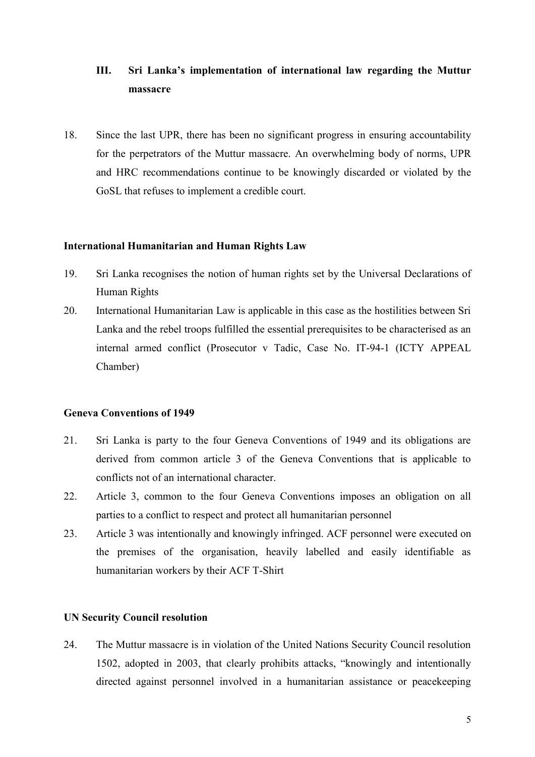# **III. Sri Lanka's implementation of international law regarding the Muttur massacre**

18. Since the last UPR, there has been no significant progress in ensuring accountability for the perpetrators of the Muttur massacre. An overwhelming body of norms, UPR and HRC recommendations continue to be knowingly discarded or violated by the GoSL that refuses to implement a credible court.

#### **International Humanitarian and Human Rights Law**

- 19. Sri Lanka recognises the notion of human rights set by the Universal Declarations of Human Rights
- 20. International Humanitarian Law is applicable in this case as the hostilities between Sri Lanka and the rebel troops fulfilled the essential prerequisites to be characterised as an internal armed conflict (Prosecutor v Tadic, Case No. IT-94-1 (ICTY APPEAL Chamber)

#### **Geneva Conventions of 1949**

- 21. Sri Lanka is party to the four Geneva Conventions of 1949 and its obligations are derived from common article 3 of the Geneva Conventions that is applicable to conflicts not of an international character.
- 22. Article 3, common to the four Geneva Conventions imposes an obligation on all parties to a conflict to respect and protect all humanitarian personnel
- 23. Article 3 was intentionally and knowingly infringed. ACF personnel were executed on the premises of the organisation, heavily labelled and easily identifiable as humanitarian workers by their ACF T-Shirt

# **UN Security Council resolution**

24. The Muttur massacre is in violation of the United Nations Security Council resolution 1502, adopted in 2003, that clearly prohibits attacks, "knowingly and intentionally directed against personnel involved in a humanitarian assistance or peacekeeping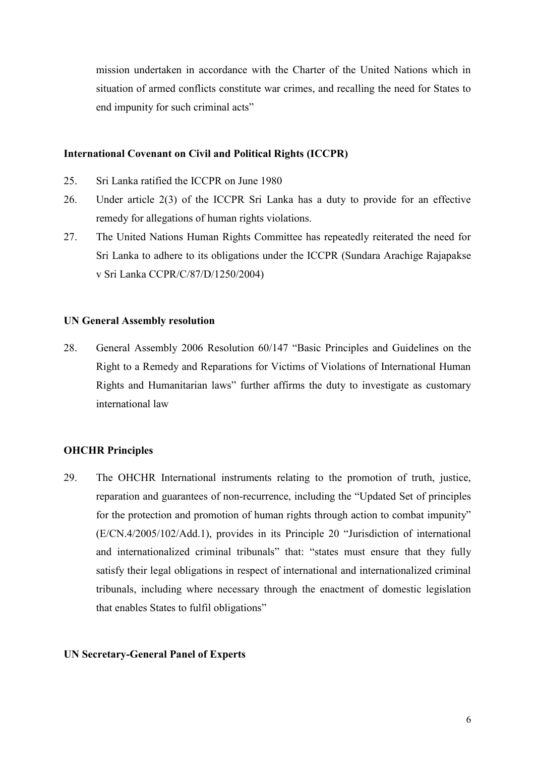mission undertaken in accordance with the Charter of the United Nations which in situation of armed conflicts constitute war crimes, and recalling the need for States to end impunity for such criminal acts"

## **International Covenant on Civil and Political Rights (ICCPR)**

- 25. Sri Lanka ratified the ICCPR on June 1980
- 26. Under article 2(3) of the ICCPR Sri Lanka has a duty to provide for an effective remedy for allegations of human rights violations.
- 27. The United Nations Human Rights Committee has repeatedly reiterated the need for Sri Lanka to adhere to its obligations under the ICCPR (Sundara Arachige Rajapakse v Sri Lanka CCPR/C/87/D/1250/2004)

#### **UN General Assembly resolution**

28. General Assembly 2006 Resolution 60/147 "Basic Principles and Guidelines on the Right to a Remedy and Reparations for Victims of Violations of International Human Rights and Humanitarian laws" further affirms the duty to investigate as customary international law

## **OHCHR Principles**

29. The OHCHR International instruments relating to the promotion of truth, justice, reparation and guarantees of non-recurrence, including the "Updated Set of principles for the protection and promotion of human rights through action to combat impunity" (E/CN.4/2005/102/Add.1), provides in its Principle 20 "Jurisdiction of international and internationalized criminal tribunals" that: "states must ensure that they fully satisfy their legal obligations in respect of international and internationalized criminal tribunals, including where necessary through the enactment of domestic legislation that enables States to fulfil obligations"

# **UN Secretary-General Panel of Experts**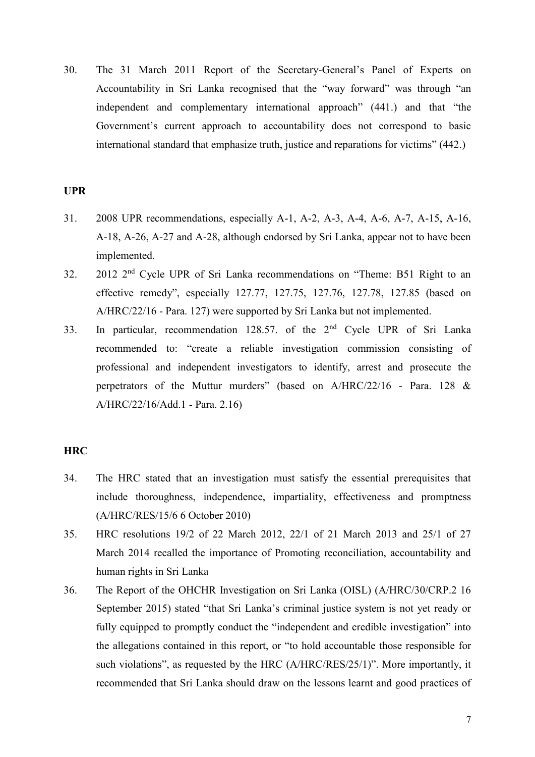30. The 31 March 2011 Report of the Secretary-General's Panel of Experts on Accountability in Sri Lanka recognised that the "way forward" was through "an independent and complementary international approach" (441.) and that "the Government's current approach to accountability does not correspond to basic international standard that emphasize truth, justice and reparations for victims" (442.)

### **UPR**

- 31. 2008 UPR recommendations, especially A-1, A-2, A-3, A-4, A-6, A-7, A-15, A-16, A-18, A-26, A-27 and A-28, although endorsed by Sri Lanka, appear not to have been implemented.
- 32. 2012 2<sup>nd</sup> Cycle UPR of Sri Lanka recommendations on "Theme: B51 Right to an effective remedy", especially 127.77, 127.75, 127.76, 127.78, 127.85 (based on A/HRC/22/16 - Para. 127) were supported by Sri Lanka but not implemented.
- 33. In particular, recommendation 128.57, of the 2<sup>nd</sup> Cycle UPR of Sri Lanka recommended to: "create a reliable investigation commission consisting of professional and independent investigators to identify, arrest and prosecute the perpetrators of the Muttur murders" (based on A/HRC/22/16 - Para. 128 & A/HRC/22/16/Add.1 - Para. 2.16)

# **HRC**

- 34. The HRC stated that an investigation must satisfy the essential prerequisites that include thoroughness, independence, impartiality, effectiveness and promptness (A/HRC/RES/15/6 6 October 2010)
- 35. HRC resolutions 19/2 of 22 March 2012, 22/1 of 21 March 2013 and 25/1 of 27 March 2014 recalled the importance of Promoting reconciliation, accountability and human rights in Sri Lanka
- 36. The Report of the OHCHR Investigation on Sri Lanka (OISL) (A/HRC/30/CRP.2 16 September 2015) stated "that Sri Lanka's criminal justice system is not yet ready or fully equipped to promptly conduct the "independent and credible investigation" into the allegations contained in this report, or "to hold accountable those responsible for such violations", as requested by the HRC (A/HRC/RES/25/1)". More importantly, it recommended that Sri Lanka should draw on the lessons learnt and good practices of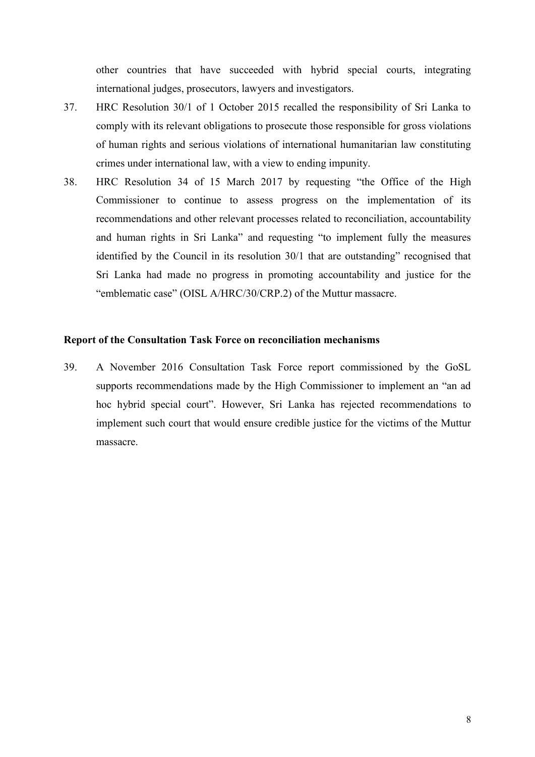other countries that have succeeded with hybrid special courts, integrating international judges, prosecutors, lawyers and investigators.

- 37. HRC Resolution 30/1 of 1 October 2015 recalled the responsibility of Sri Lanka to comply with its relevant obligations to prosecute those responsible for gross violations of human rights and serious violations of international humanitarian law constituting crimes under international law, with a view to ending impunity.
- 38. HRC Resolution 34 of 15 March 2017 by requesting "the Office of the High Commissioner to continue to assess progress on the implementation of its recommendations and other relevant processes related to reconciliation, accountability and human rights in Sri Lanka" and requesting "to implement fully the measures identified by the Council in its resolution 30/1 that are outstanding" recognised that Sri Lanka had made no progress in promoting accountability and justice for the "emblematic case" (OISL A/HRC/30/CRP.2) of the Muttur massacre.

# **Report of the Consultation Task Force on reconciliation mechanisms**

39. A November 2016 Consultation Task Force report commissioned by the GoSL supports recommendations made by the High Commissioner to implement an "an ad hoc hybrid special court". However, Sri Lanka has rejected recommendations to implement such court that would ensure credible justice for the victims of the Muttur massacre.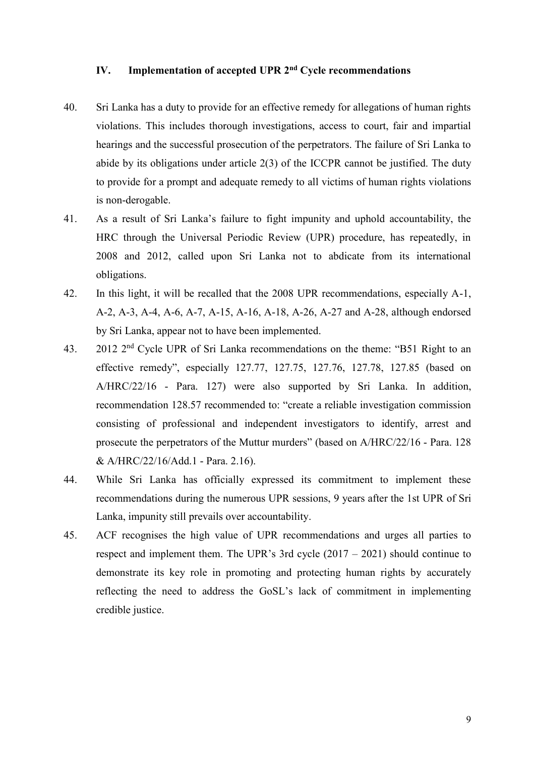# **IV. Implementation of accepted UPR 2nd Cycle recommendations**

- 40. Sri Lanka has a duty to provide for an effective remedy for allegations of human rights violations. This includes thorough investigations, access to court, fair and impartial hearings and the successful prosecution of the perpetrators. The failure of Sri Lanka to abide by its obligations under article 2(3) of the ICCPR cannot be justified. The duty to provide for a prompt and adequate remedy to all victims of human rights violations is non-derogable.
- 41. As a result of Sri Lanka's failure to fight impunity and uphold accountability, the HRC through the Universal Periodic Review (UPR) procedure, has repeatedly, in 2008 and 2012, called upon Sri Lanka not to abdicate from its international obligations.
- 42. In this light, it will be recalled that the 2008 UPR recommendations, especially A-1, A-2, A-3, A-4, A-6, A-7, A-15, A-16, A-18, A-26, A-27 and A-28, although endorsed by Sri Lanka, appear not to have been implemented.
- 43. 2012 2<sup>nd</sup> Cycle UPR of Sri Lanka recommendations on the theme: "B51 Right to an effective remedy", especially 127.77, 127.75, 127.76, 127.78, 127.85 (based on A/HRC/22/16 - Para. 127) were also supported by Sri Lanka. In addition, recommendation 128.57 recommended to: "create a reliable investigation commission consisting of professional and independent investigators to identify, arrest and prosecute the perpetrators of the Muttur murders" (based on A/HRC/22/16 - Para. 128 & A/HRC/22/16/Add.1 - Para. 2.16).
- 44. While Sri Lanka has officially expressed its commitment to implement these recommendations during the numerous UPR sessions, 9 years after the 1st UPR of Sri Lanka, impunity still prevails over accountability.
- 45. ACF recognises the high value of UPR recommendations and urges all parties to respect and implement them. The UPR's 3rd cycle (2017 – 2021) should continue to demonstrate its key role in promoting and protecting human rights by accurately reflecting the need to address the GoSL's lack of commitment in implementing credible justice.